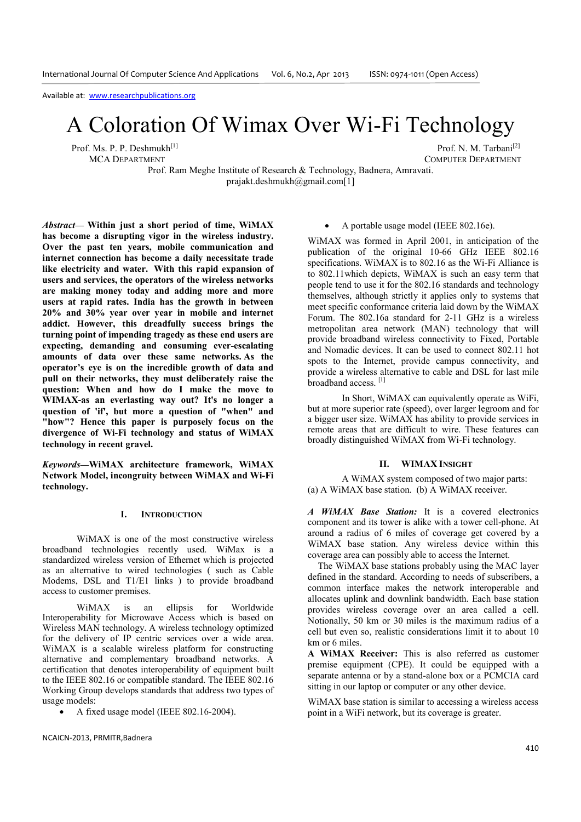# A Coloration Of Wimax Over Wi-Fi Technology

Prof. Ms. P. P. Deshmukh<sup>[1]</sup> Prof. M. Tarbani<sup>[2]</sup> Prof. N. M. Tarbani<sup>[2]</sup> Prof. N. M. Tarbani<sup>[2]</sup>

COMPUTER DEPARTMENT

Prof. Ram Meghe Institute of Research & Technology, Badnera, Amravati. prajakt.deshmukh@gmail.com[1]

*Abstract***— Within just a short period of time, WiMAX has become a disrupting vigor in the wireless industry. Over the past ten years, mobile communication and internet connection has become a daily necessitate trade like electricity and water. With this rapid expansion of users and services, the operators of the wireless networks are making money today and adding more and more users at rapid rates. India has the growth in between 20% and 30% year over year in mobile and internet addict. However, this dreadfully success brings the turning point of impending tragedy as these end users are expecting, demanding and consuming ever-escalating amounts of data over these same networks. As the operator's eye is on the incredible growth of data and pull on their networks, they must deliberately raise the question: When and how do I make the move to WIMAX-as an everlasting way out? It's no longer a question of 'if', but more a question of "when" and "how"? Hence this paper is purposely focus on the divergence of Wi-Fi technology and status of WiMAX technology in recent gravel.** 

*Keywords***—WiMAX architecture framework, WiMAX Network Model, incongruity between WiMAX and Wi-Fi technology.** 

#### **I. INTRODUCTION**

WiMAX is one of the most constructive wireless broadband technologies recently used. WiMax is a standardized wireless version of Ethernet which is projected as an alternative to wired technologies ( such as Cable Modems, DSL and T1/E1 links ) to provide broadband access to customer premises.

WiMAX is an ellipsis for Worldwide Interoperability for Microwave Access which is based on Wireless MAN technology. A wireless technology optimized for the delivery of IP centric services over a wide area. WiMAX is a scalable wireless platform for constructing alternative and complementary broadband networks. A certification that denotes interoperability of equipment built to the IEEE 802.16 or compatible standard. The IEEE 802.16 Working Group develops standards that address two types of usage models:

• A fixed usage model (IEEE 802.16-2004).

#### NCAICN-2013, PRMITR,Badnera

## • A portable usage model (IEEE 802.16e).

WiMAX was formed in April 2001, in anticipation of the publication of the original 10-66 GHz IEEE 802.16 specifications. WiMAX is to 802.16 as the Wi-Fi Alliance is to 802.11which depicts, WiMAX is such an easy term that people tend to use it for the 802.16 standards and technology themselves, although strictly it applies only to systems that meet specific conformance criteria laid down by the WiMAX Forum. The 802.16a standard for 2-11 GHz is a wireless metropolitan area network (MAN) technology that will provide broadband wireless connectivity to Fixed, Portable and Nomadic devices. It can be used to connect 802.11 hot spots to the Internet, provide campus connectivity, and provide a wireless alternative to cable and DSL for last mile broadband access.<sup>[1]</sup>

In Short, WiMAX can equivalently operate as WiFi, but at more superior rate (speed), over larger legroom and for a bigger user size. WiMAX has ability to provide services in remote areas that are difficult to wire. These features can broadly distinguished WiMAX from Wi-Fi technology.

# **II. WIMAX INSIGHT**

 A WiMAX system composed of two major parts: (a) A WiMAX base station. (b) A WiMAX receiver.

*A WiMAX Base Station:* It is a covered electronics component and its tower is alike with a tower cell-phone. At around a radius of 6 miles of coverage get covered by a WiMAX base station. Any wireless device within this coverage area can possibly able to access the Internet.

The WiMAX base stations probably using the MAC layer defined in the standard. According to needs of subscribers, a common interface makes the network interoperable and allocates uplink and downlink bandwidth. Each base station provides wireless coverage over an area called a cell. Notionally, 50 km or 30 miles is the maximum radius of a cell but even so, realistic considerations limit it to about 10 km or 6 miles.

**A WiMAX Receiver:** This is also referred as customer premise equipment (CPE). It could be equipped with a separate antenna or by a stand-alone box or a PCMCIA card sitting in our laptop or computer or any other device.

WiMAX base station is similar to accessing a wireless access point in a WiFi network, but its coverage is greater.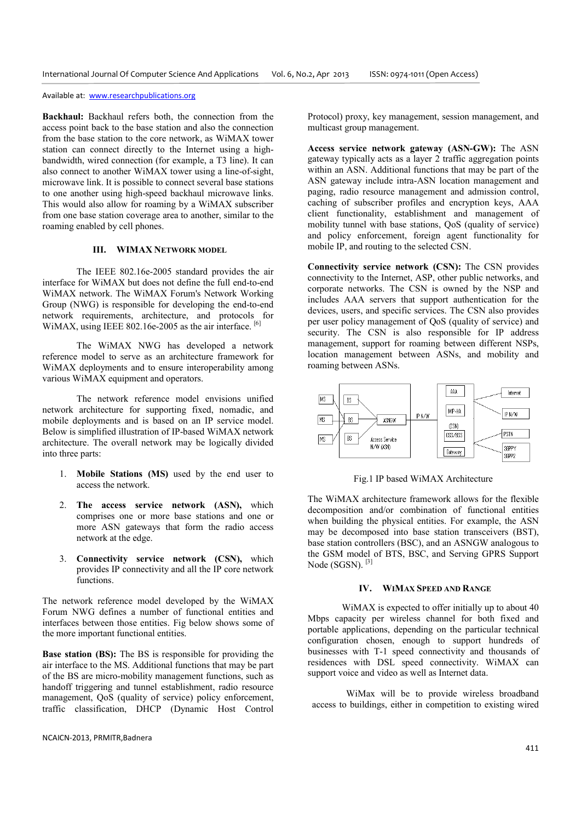**Backhaul:** Backhaul refers both, the connection from the access point back to the base station and also the connection from the base station to the core network, as WiMAX tower station can connect directly to the Internet using a highbandwidth, wired connection (for example, a T3 line). It can also connect to another WiMAX tower using a line-of-sight, microwave link. It is possible to connect several base stations to one another using high-speed backhaul microwave links. This would also allow for roaming by a WiMAX subscriber from one base station coverage area to another, similar to the roaming enabled by cell phones.

## **III. WIMAX NETWORK MODEL**

 The IEEE 802.16e-2005 standard provides the air interface for WiMAX but does not define the full end-to-end WiMAX network. The WiMAX Forum's Network Working Group (NWG) is responsible for developing the end-to-end network requirements, architecture, and protocols for WiMAX, using IEEE 802.16e-2005 as the air interface. <sup>[6]</sup>

The WiMAX NWG has developed a network reference model to serve as an architecture framework for WiMAX deployments and to ensure interoperability among various WiMAX equipment and operators.

The network reference model envisions unified network architecture for supporting fixed, nomadic, and mobile deployments and is based on an IP service model. Below is simplified illustration of IP-based WiMAX network architecture. The overall network may be logically divided into three parts:

- 1. **Mobile Stations (MS)** used by the end user to access the network.
- 2. **The access service network (ASN),** which comprises one or more base stations and one or more ASN gateways that form the radio access network at the edge.
- 3. **Connectivity service network (CSN),** which provides IP connectivity and all the IP core network functions.

The network reference model developed by the WiMAX Forum NWG defines a number of functional entities and interfaces between those entities. Fig below shows some of the more important functional entities.

**Base station (BS):** The BS is responsible for providing the air interface to the MS. Additional functions that may be part of the BS are micro-mobility management functions, such as handoff triggering and tunnel establishment, radio resource management, QoS (quality of service) policy enforcement, traffic classification, DHCP (Dynamic Host Control Protocol) proxy, key management, session management, and multicast group management.

**Access service network gateway (ASN-GW):** The ASN gateway typically acts as a layer 2 traffic aggregation points within an ASN. Additional functions that may be part of the ASN gateway include intra-ASN location management and paging, radio resource management and admission control, caching of subscriber profiles and encryption keys, AAA client functionality, establishment and management of mobility tunnel with base stations, QoS (quality of service) and policy enforcement, foreign agent functionality for mobile IP, and routing to the selected CSN.

**Connectivity service network (CSN):** The CSN provides connectivity to the Internet, ASP, other public networks, and corporate networks. The CSN is owned by the NSP and includes AAA servers that support authentication for the devices, users, and specific services. The CSN also provides per user policy management of QoS (quality of service) and security. The CSN is also responsible for IP address management, support for roaming between different NSPs, location management between ASNs, and mobility and roaming between ASNs.



Fig.1 IP based WiMAX Architecture

The WiMAX architecture framework allows for the flexible decomposition and/or combination of functional entities when building the physical entities. For example, the ASN may be decomposed into base station transceivers (BST), base station controllers (BSC), and an ASNGW analogous to the GSM model of BTS, BSC, and Serving GPRS Support Node (SGSN).<sup>[3]</sup>

#### **IV. WIMAX SPEED AND RANGE**

WiMAX is expected to offer initially up to about 40 Mbps capacity per wireless channel for both fixed and portable applications, depending on the particular technical configuration chosen, enough to support hundreds of businesses with T-1 speed connectivity and thousands of residences with DSL speed connectivity. WiMAX can support voice and video as well as Internet data.

WiMax will be to provide wireless broadband access to buildings, either in competition to existing wired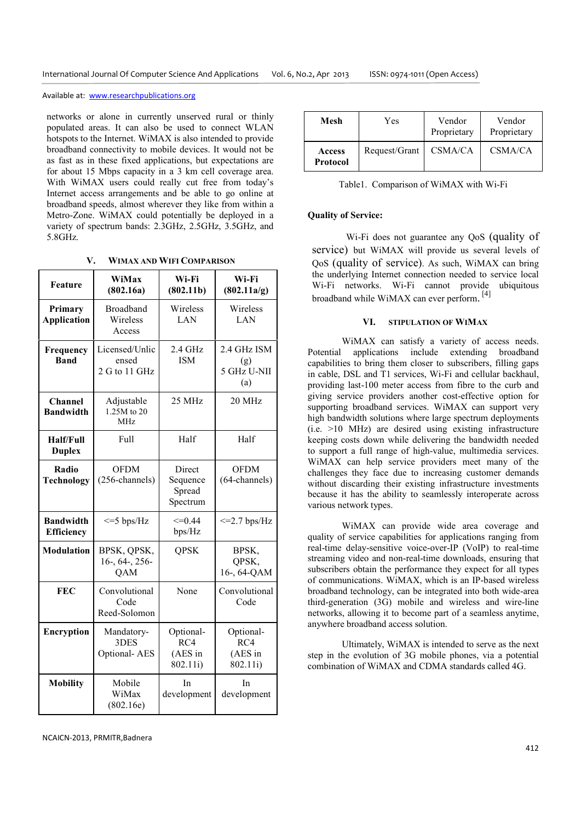networks or alone in currently unserved rural or thinly populated areas. It can also be used to connect WLAN hotspots to the Internet. WiMAX is also intended to provide broadband connectivity to mobile devices. It would not be as fast as in these fixed applications, but expectations are for about 15 Mbps capacity in a 3 km cell coverage area. With WiMAX users could really cut free from today's Internet access arrangements and be able to go online at broadband speeds, almost wherever they like from within a Metro-Zone. WiMAX could potentially be deployed in a variety of spectrum bands: 2.3GHz, 2.5GHz, 3.5GHz, and 5.8GHz.

**V. WIMAX AND WIFI COMPARISON**

| Feature                               | WiMax<br>(802.16a)                           | Wi-Fi<br>(802.11b)                       | Wi-Fi<br>(802.11a/g)                     |
|---------------------------------------|----------------------------------------------|------------------------------------------|------------------------------------------|
| Primary<br><b>Application</b>         | <b>Broadband</b><br>Wireless<br>Access       | Wireless<br>LAN                          | Wireless<br>LAN                          |
| Frequency<br><b>Band</b>              | Licensed/Unlic<br>ensed<br>2 G to 11 GHz     | $2.4$ GHz<br><b>ISM</b>                  | 2.4 GHz ISM<br>(g)<br>5 GHz U-NII<br>(a) |
| <b>Channel</b><br><b>Bandwidth</b>    | Adjustable<br>1.25M to 20<br><b>MHz</b>      | 25 MHz                                   | 20 MHz                                   |
| Half/Full<br><b>Duplex</b>            | Full                                         | Half                                     | Half                                     |
| Radio<br><b>Technology</b>            | <b>OFDM</b><br>(256-channels)                | Direct<br>Sequence<br>Spread<br>Spectrum | <b>OFDM</b><br>$(64$ -channels)          |
| <b>Bandwidth</b><br><b>Efficiency</b> | $\leq$ =5 bps/Hz                             | $\leq=0.44$<br>bps/Hz                    | $\leq$ 2.7 bps/Hz                        |
| <b>Modulation</b>                     | BPSK, QPSK,<br>$16-$ , $64-$ , $256-$<br>QAM | <b>QPSK</b>                              | BPSK,<br>QPSK,<br>16-, 64-QAM            |
| <b>FEC</b>                            | Convolutional<br>Code<br>Reed-Solomon        | None                                     | Convolutional<br>Code                    |
| <b>Encryption</b>                     | Mandatory-<br>3DES<br>Optional-AES           | Optional-<br>RC4<br>(AES in<br>802.11i)  | Optional-<br>RC4<br>(AES in<br>802.11i)  |
| <b>Mobility</b>                       | Mobile<br>WiMax<br>(802.16e)                 | In<br>development                        | In<br>development                        |

| Mesh               | Yes           | Vendor<br>Proprietary | Vendor<br>Proprietary |
|--------------------|---------------|-----------------------|-----------------------|
| Access<br>Protocol | Request/Grant | CSMA/CA               | CSMA/CA               |

Table1. Comparison of WiMAX with Wi-Fi

# **Quality of Service:**

Wi-Fi does not guarantee any QoS (quality of service) but WiMAX will provide us several levels of QoS (quality of service). As such, WiMAX can bring the underlying Internet connection needed to service local Wi-Fi networks. Wi-Fi cannot provide ubiquitous broadband while WiMAX can ever perform.<sup>[4]</sup>

## **VI. STIPULATION OF WIMAX**

WiMAX can satisfy a variety of access needs. Potential applications include extending broadband capabilities to bring them closer to subscribers, filling gaps in cable, DSL and T1 services, Wi-Fi and cellular backhaul, providing last-100 meter access from fibre to the curb and giving service providers another cost-effective option for supporting broadband services. WiMAX can support very high bandwidth solutions where large spectrum deployments (i.e. >10 MHz) are desired using existing infrastructure keeping costs down while delivering the bandwidth needed to support a full range of high-value, multimedia services. WiMAX can help service providers meet many of the challenges they face due to increasing customer demands without discarding their existing infrastructure investments because it has the ability to seamlessly interoperate across various network types.

WiMAX can provide wide area coverage and quality of service capabilities for applications ranging from real-time delay-sensitive voice-over-IP (VoIP) to real-time streaming video and non-real-time downloads, ensuring that subscribers obtain the performance they expect for all types of communications. WiMAX, which is an IP-based wireless broadband technology, can be integrated into both wide-area third-generation (3G) mobile and wireless and wire-line networks, allowing it to become part of a seamless anytime, anywhere broadband access solution.

Ultimately, WiMAX is intended to serve as the next step in the evolution of 3G mobile phones, via a potential combination of WiMAX and CDMA standards called 4G.